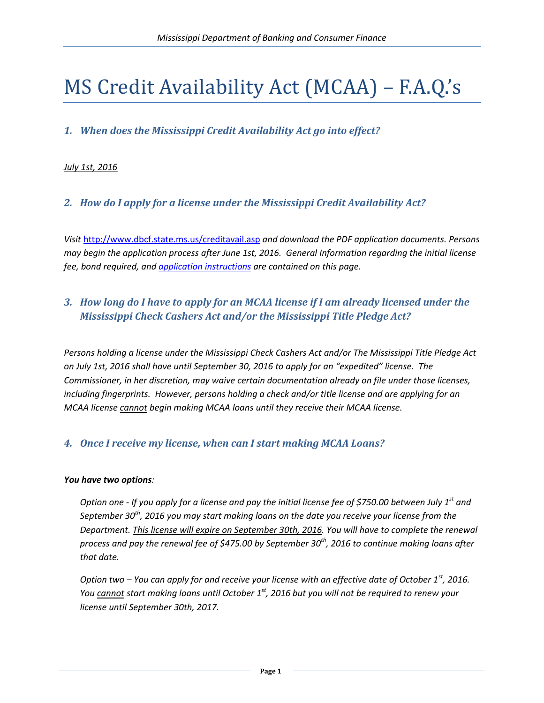# MS Credit Availability Act (MCAA) – F.A.Q.'s

# *1. When does the Mississippi Credit Availability Act go into effect?*

#### *July 1st, 2016*

## *2. How do I apply for a license under the Mississippi Credit Availability Act?*

*Visit* <http://www.dbcf.state.ms.us/creditavail.asp> *and download the PDF application documents. Persons may begin the application process after June 1st, 2016. General Information regarding the initial license fee, bond required, an[d application instructions](http://www.dbcf.state.ms.us/documents/cons_finance/CA_instructions.pdf) are contained on this page.* 

# *3. How long do I have to apply for an MCAA license if I am already licensed under the Mississippi Check Cashers Act and/or the Mississippi Title Pledge Act?*

*Persons holding a license under the Mississippi Check Cashers Act and/or The Mississippi Title Pledge Act on July 1st, 2016 shall have until September 30, 2016 to apply for an "expedited" license. The Commissioner, in her discretion, may waive certain documentation already on file under those licenses, including fingerprints. However, persons holding a check and/or title license and are applying for an MCAA license cannot begin making MCAA loans until they receive their MCAA license.*

#### *4. Once I receive my license, when can I start making MCAA Loans?*

#### *You have two options:*

*Option one - If you apply for a license and pay the initial license fee of \$750.00 between July 1st and September 30th, 2016 you may start making loans on the date you receive your license from the Department. This license will expire on September 30th, 2016. You will have to complete the renewal process and pay the renewal fee of \$475.00 by September 30th, 2016 to continue making loans after that date.*

*Option two – You can apply for and receive your license with an effective date of October 1st, 2016. You cannot start making loans until October 1st, 2016 but you will not be required to renew your license until September 30th, 2017.*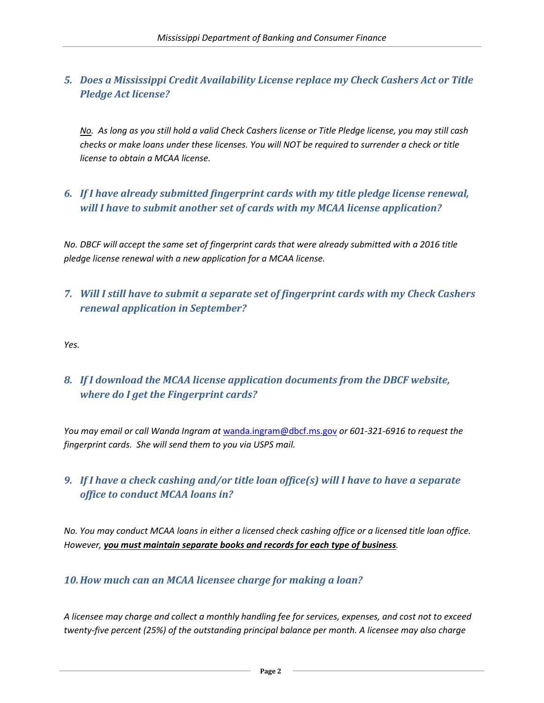# *5. Does a Mississippi Credit Availability License replace my Check Cashers Act or Title Pledge Act license?*

*No. As long as you still hold a valid Check Cashers license or Title Pledge license, you may still cash checks or make loans under these licenses. You will NOT be required to surrender a check or title license to obtain a MCAA license.* 

## *6. If I have already submitted fingerprint cards with my title pledge license renewal, will I have to submit another set of cards with my MCAA license application?*

*No. DBCF will accept the same set of fingerprint cards that were already submitted with a 2016 title pledge license renewal with a new application for a MCAA license.* 

## *7. Will I still have to submit a separate set of fingerprint cards with my Check Cashers renewal application in September?*

*Yes.*

# *8. If I download the MCAA license application documents from the DBCF website, where do I get the Fingerprint cards?*

*You may email or call Wanda Ingram at* [wanda.ingram@dbcf.ms.gov](mailto:wanda.ingram@dbcf.ms.gov) *or 601-321-6916 to request the fingerprint cards. She will send them to you via USPS mail.* 

# *9. If I have a check cashing and/or title loan office(s) will I have to have a separate office to conduct MCAA loans in?*

*No. You may conduct MCAA loans in either a licensed check cashing office or a licensed title loan office. However, you must maintain separate books and records for each type of business.* 

#### *10.How much can an MCAA licensee charge for making a loan?*

*A licensee may charge and collect a monthly handling fee for services, expenses, and cost not to exceed twenty-five percent (25%) of the outstanding principal balance per month. A licensee may also charge*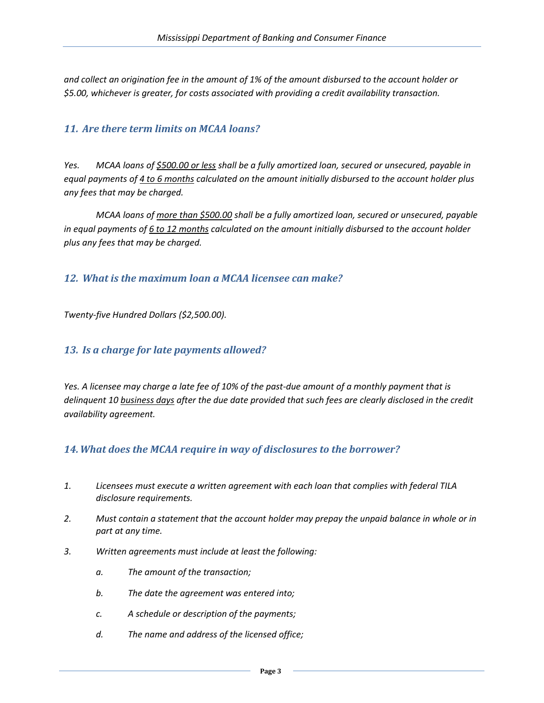*and collect an origination fee in the amount of 1% of the amount disbursed to the account holder or \$5.00, whichever is greater, for costs associated with providing a credit availability transaction.*

#### *11. Are there term limits on MCAA loans?*

*Yes. MCAA loans of \$500.00 or less shall be a fully amortized loan, secured or unsecured, payable in equal payments of 4 to 6 months calculated on the amount initially disbursed to the account holder plus any fees that may be charged.*

*MCAA loans of more than \$500.00 shall be a fully amortized loan, secured or unsecured, payable in equal payments of 6 to 12 months calculated on the amount initially disbursed to the account holder plus any fees that may be charged.* 

#### *12. What is the maximum loan a MCAA licensee can make?*

*Twenty-five Hundred Dollars (\$2,500.00).*

#### *13. Is a charge for late payments allowed?*

*Yes. A licensee may charge a late fee of 10% of the past-due amount of a monthly payment that is delinquent 10 business days after the due date provided that such fees are clearly disclosed in the credit availability agreement.*

#### *14.What does the MCAA require in way of disclosures to the borrower?*

- *1. Licensees must execute a written agreement with each loan that complies with federal TILA disclosure requirements.*
- *2. Must contain a statement that the account holder may prepay the unpaid balance in whole or in part at any time.*
- *3. Written agreements must include at least the following:*
	- *a. The amount of the transaction;*
	- *b. The date the agreement was entered into;*
	- *c. A schedule or description of the payments;*
	- *d. The name and address of the licensed office;*